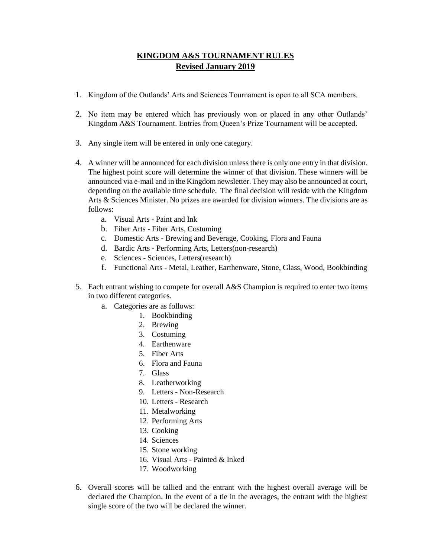## **KINGDOM A&S TOURNAMENT RULES Revised January 2019**

- 1. Kingdom of the Outlands' Arts and Sciences Tournament is open to all SCA members.
- 2. No item may be entered which has previously won or placed in any other Outlands' Kingdom A&S Tournament. Entries from Queen's Prize Tournament will be accepted.
- 3. Any single item will be entered in only one category.
- 4. A winner will be announced for each division unless there is only one entry in that division. The highest point score will determine the winner of that division. These winners will be announced via e-mail and in the Kingdom newsletter. They may also be announced at court, depending on the available time schedule. The final decision will reside with the Kingdom Arts & Sciences Minister. No prizes are awarded for division winners. The divisions are as follows:
	- a. Visual Arts Paint and Ink
	- b. Fiber Arts Fiber Arts, Costuming
	- c. Domestic Arts Brewing and Beverage, Cooking, Flora and Fauna
	- d. Bardic Arts Performing Arts, Letters(non-research)
	- e. Sciences Sciences, Letters(research)
	- f. Functional Arts Metal, Leather, Earthenware, Stone, Glass, Wood, Bookbinding
- 5. Each entrant wishing to compete for overall A&S Champion is required to enter two items in two different categories.
	- a. Categories are as follows:
		- 1. Bookbinding
		- 2. Brewing
		- 3. Costuming
		- 4. Earthenware
		- 5. Fiber Arts
		- 6. Flora and Fauna
		- 7. Glass
		- 8. Leatherworking
		- 9. Letters Non-Research
		- 10. Letters Research
		- 11. Metalworking
		- 12. Performing Arts
		- 13. Cooking
		- 14. Sciences
		- 15. Stone working
		- 16. Visual Arts Painted & Inked
		- 17. Woodworking
- 6. Overall scores will be tallied and the entrant with the highest overall average will be declared the Champion. In the event of a tie in the averages, the entrant with the highest single score of the two will be declared the winner.